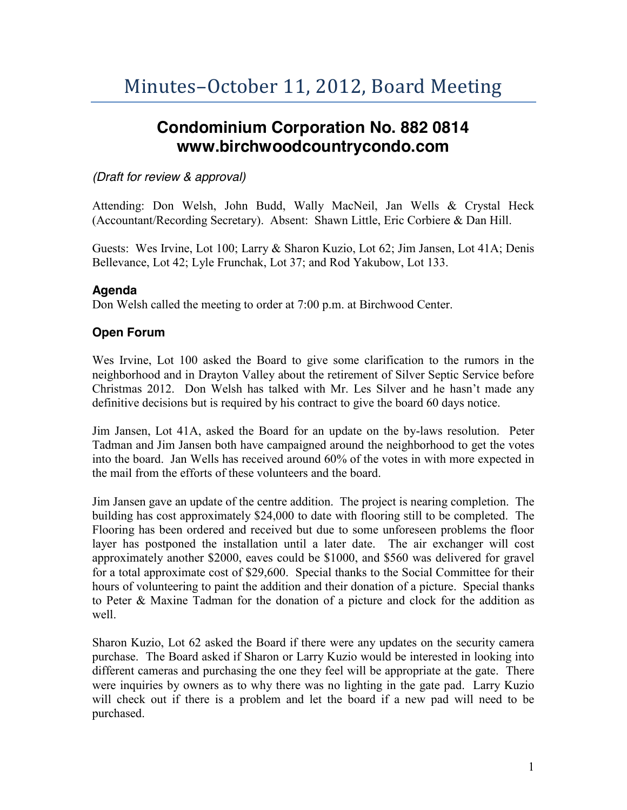# **Condominium Corporation No. 882 0814 www.birchwoodcountrycondo.com**

### *(Draft for review & approval)*

Attending: Don Welsh, John Budd, Wally MacNeil, Jan Wells & Crystal Heck (Accountant/Recording Secretary). Absent: Shawn Little, Eric Corbiere & Dan Hill.

Guests: Wes Irvine, Lot 100; Larry & Sharon Kuzio, Lot 62; Jim Jansen, Lot 41A; Denis Bellevance, Lot 42; Lyle Frunchak, Lot 37; and Rod Yakubow, Lot 133.

### **Agenda**

Don Welsh called the meeting to order at 7:00 p.m. at Birchwood Center.

### **Open Forum**

Wes Irvine, Lot 100 asked the Board to give some clarification to the rumors in the neighborhood and in Drayton Valley about the retirement of Silver Septic Service before Christmas 2012. Don Welsh has talked with Mr. Les Silver and he hasn't made any definitive decisions but is required by his contract to give the board 60 days notice.

Jim Jansen, Lot 41A, asked the Board for an update on the by-laws resolution. Peter Tadman and Jim Jansen both have campaigned around the neighborhood to get the votes into the board. Jan Wells has received around 60% of the votes in with more expected in the mail from the efforts of these volunteers and the board.

Jim Jansen gave an update of the centre addition. The project is nearing completion. The building has cost approximately \$24,000 to date with flooring still to be completed. The Flooring has been ordered and received but due to some unforeseen problems the floor layer has postponed the installation until a later date. The air exchanger will cost approximately another \$2000, eaves could be \$1000, and \$560 was delivered for gravel for a total approximate cost of \$29,600. Special thanks to the Social Committee for their hours of volunteering to paint the addition and their donation of a picture. Special thanks to Peter & Maxine Tadman for the donation of a picture and clock for the addition as well.

Sharon Kuzio, Lot 62 asked the Board if there were any updates on the security camera purchase. The Board asked if Sharon or Larry Kuzio would be interested in looking into different cameras and purchasing the one they feel will be appropriate at the gate. There were inquiries by owners as to why there was no lighting in the gate pad. Larry Kuzio will check out if there is a problem and let the board if a new pad will need to be purchased.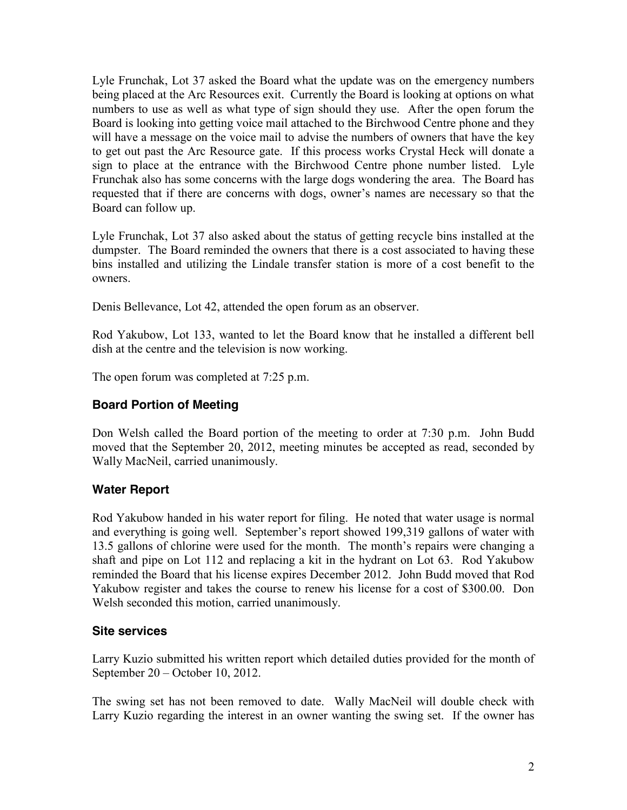Lyle Frunchak, Lot 37 asked the Board what the update was on the emergency numbers being placed at the Arc Resources exit. Currently the Board is looking at options on what numbers to use as well as what type of sign should they use. After the open forum the Board is looking into getting voice mail attached to the Birchwood Centre phone and they will have a message on the voice mail to advise the numbers of owners that have the key to get out past the Arc Resource gate. If this process works Crystal Heck will donate a sign to place at the entrance with the Birchwood Centre phone number listed. Lyle Frunchak also has some concerns with the large dogs wondering the area. The Board has requested that if there are concerns with dogs, owner's names are necessary so that the Board can follow up.

Lyle Frunchak, Lot 37 also asked about the status of getting recycle bins installed at the dumpster. The Board reminded the owners that there is a cost associated to having these bins installed and utilizing the Lindale transfer station is more of a cost benefit to the owners.

Denis Bellevance, Lot 42, attended the open forum as an observer.

Rod Yakubow, Lot 133, wanted to let the Board know that he installed a different bell dish at the centre and the television is now working.

The open forum was completed at 7:25 p.m.

### **Board Portion of Meeting**

Don Welsh called the Board portion of the meeting to order at 7:30 p.m. John Budd moved that the September 20, 2012, meeting minutes be accepted as read, seconded by Wally MacNeil, carried unanimously.

### **Water Report**

Rod Yakubow handed in his water report for filing. He noted that water usage is normal and everything is going well. September's report showed 199,319 gallons of water with 13.5 gallons of chlorine were used for the month. The month's repairs were changing a shaft and pipe on Lot 112 and replacing a kit in the hydrant on Lot 63. Rod Yakubow reminded the Board that his license expires December 2012. John Budd moved that Rod Yakubow register and takes the course to renew his license for a cost of \$300.00. Don Welsh seconded this motion, carried unanimously.

### **Site services**

Larry Kuzio submitted his written report which detailed duties provided for the month of September 20 – October 10, 2012.

The swing set has not been removed to date. Wally MacNeil will double check with Larry Kuzio regarding the interest in an owner wanting the swing set. If the owner has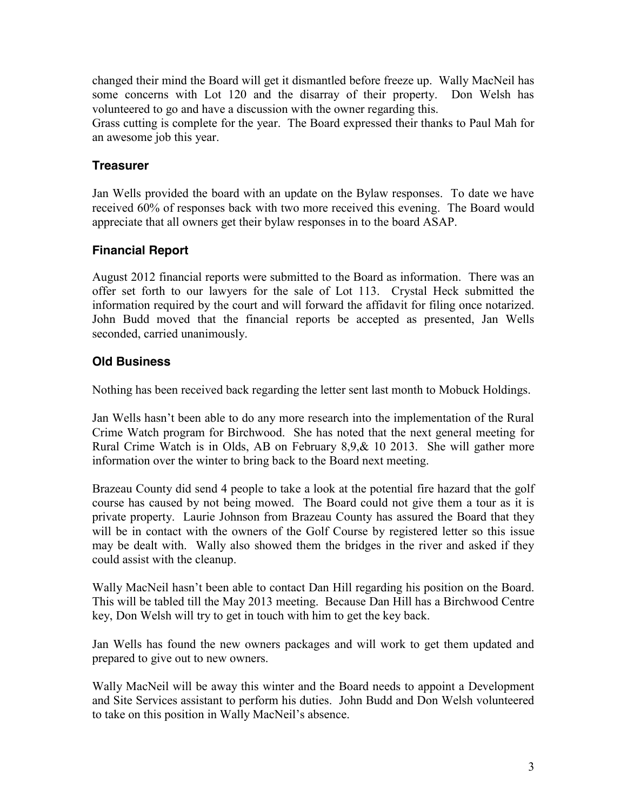changed their mind the Board will get it dismantled before freeze up. Wally MacNeil has some concerns with Lot 120 and the disarray of their property. Don Welsh has volunteered to go and have a discussion with the owner regarding this.

Grass cutting is complete for the year. The Board expressed their thanks to Paul Mah for an awesome job this year.

### **Treasurer**

Jan Wells provided the board with an update on the Bylaw responses. To date we have received 60% of responses back with two more received this evening. The Board would appreciate that all owners get their bylaw responses in to the board ASAP.

## **Financial Report**

August 2012 financial reports were submitted to the Board as information. There was an offer set forth to our lawyers for the sale of Lot 113. Crystal Heck submitted the information required by the court and will forward the affidavit for filing once notarized. John Budd moved that the financial reports be accepted as presented, Jan Wells seconded, carried unanimously.

# **Old Business**

Nothing has been received back regarding the letter sent last month to Mobuck Holdings.

Jan Wells hasn't been able to do any more research into the implementation of the Rural Crime Watch program for Birchwood. She has noted that the next general meeting for Rural Crime Watch is in Olds, AB on February 8,9,& 10 2013. She will gather more information over the winter to bring back to the Board next meeting.

Brazeau County did send 4 people to take a look at the potential fire hazard that the golf course has caused by not being mowed. The Board could not give them a tour as it is private property. Laurie Johnson from Brazeau County has assured the Board that they will be in contact with the owners of the Golf Course by registered letter so this issue may be dealt with. Wally also showed them the bridges in the river and asked if they could assist with the cleanup.

Wally MacNeil hasn't been able to contact Dan Hill regarding his position on the Board. This will be tabled till the May 2013 meeting. Because Dan Hill has a Birchwood Centre key, Don Welsh will try to get in touch with him to get the key back.

Jan Wells has found the new owners packages and will work to get them updated and prepared to give out to new owners.

Wally MacNeil will be away this winter and the Board needs to appoint a Development and Site Services assistant to perform his duties. John Budd and Don Welsh volunteered to take on this position in Wally MacNeil's absence.